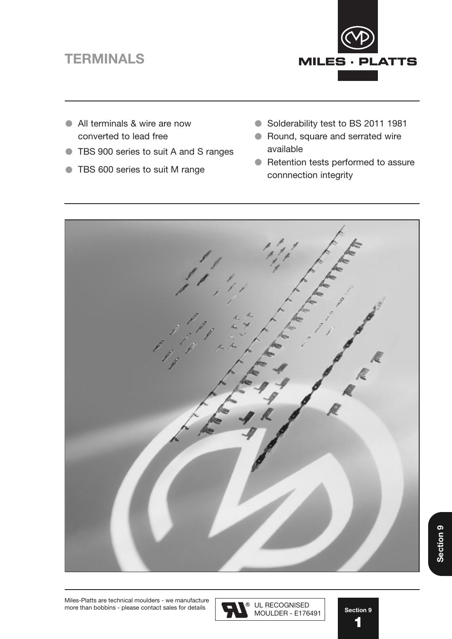# **TERMINALS** TERMINALS



- All terminals & wire are now converted to lead free
- **TBS 900 series to suit A and S ranges**
- **TBS 600 series to suit M range**
- Solderability test to BS 2011 1981
- Round, square and serrated wire available
- Retention tests performed to assure connnection integrity



Miles-Platts are technical moulders - we manufacture more than bobbins - please contact sales for details  $\Box$ 



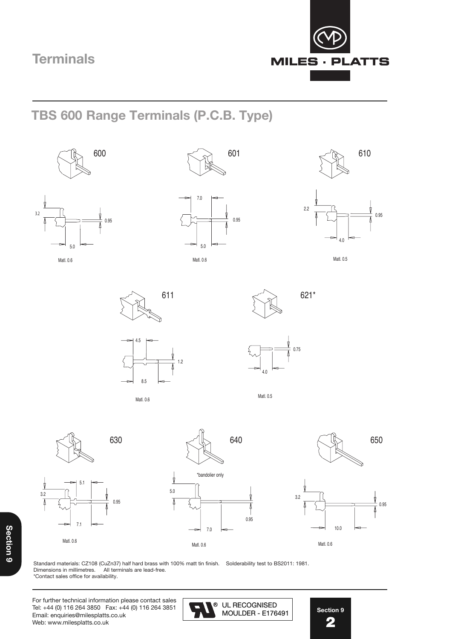

**TBS 600 Range Terminals (P.C.B. Type) TBS 600 Range Terminals (P.C.B. Type) TBS 600 Range Terminals (P.C.B. Type) TBS 600 Range Terminals (P.C.B. Type)**







 $\ltimes$  301  $\ltimes$  601





610











Matl. 0.6



Matl. 0.5

4.75







Standard materials: CZ108 (CuZn37) half hard brass with 100% matt tin finish. Solderability test to BS2011: 1981.



UL RECOGNISED

Section 9 **Section 9**

Section 8

For further technical information please contact sales For further technical information please contact For further technical information please contact Tel: +44 (0) 116 264 3850 Fax: +44 (0) 116 264 3851  $\sim$  8 UL RECOGNISED Email: enquiries@milesplatts.co.uk<br>Waka Email: chqaincs@nillicsplatts.co.<br>Web: www.milesplatts.co.uk Dimensions in the collections in millimeters and the collections are lead-free. All the collections are lead-STANDARD MATERIALS: COLORADO MATERIALS: COLORADO MATT TIN FINISH. SOLDIER HARD MATT TIN FINISH. SOLDIER HARD MATT T Dimensions in millimetres. All terminals are lead-free. sales@milesplatts.co.uk or www.milesplatts.co.uk



**Section 9** Section 8 Section 8 **2** 2 2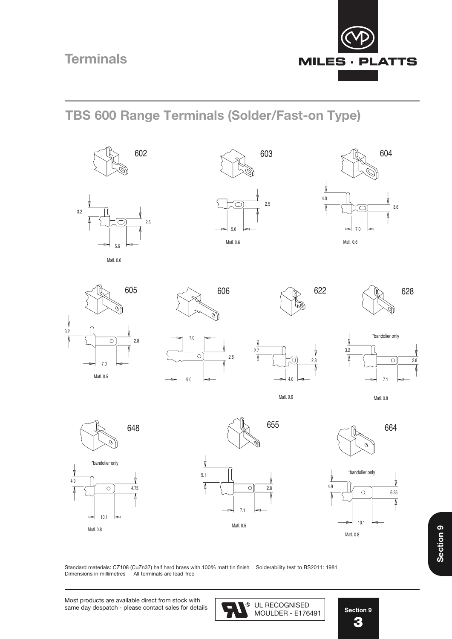

#### **TBS 600 Range Terminals (Solder/Fast-on Type) TBS 600 Range Terminals (Solder/Fast-on Type) TBS 600 Range Terminals (P.C.B. Type) TBS 600 Range Terminals (P.C.B. Type)**









603













 $\overline{\phantom{a}}$ 

2,8



Matl. 0.5 Matl. 0.6

3.6

2.7

4.0

Matl. 0.8



Matl. 0.8

Dimensions in millimetres. All terminals are lead-free.







**Section 9** Section 8 Section 8 **3** 3 3

**Section 9**

Standard materials: CZ108 (CuZn37) half hard brass with 100% matt tin finish Solderability test to BS2011: 1981 Dimensions in millimetres All terminals are lead-free Dimensions in millimetres All terminals are lead-free Standard materials: CZ108 (CuZn37) half hard brass with 100% matterials: Soldierability test to B2011: 1982. I Dimensions in millimetres

MOULDER - E176491 UL RECOGNISED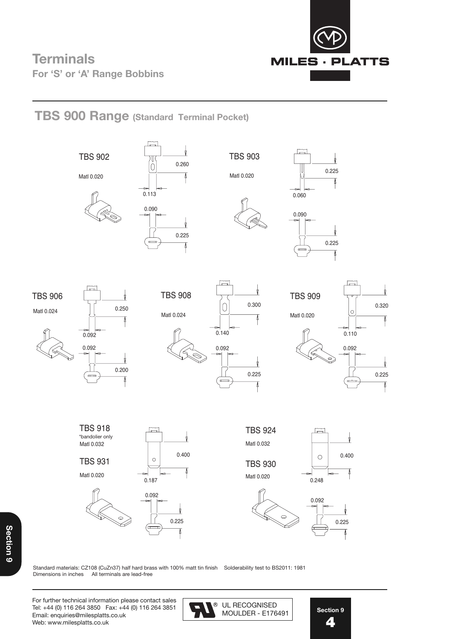

**TBS 900 Range (Standard Terminal Pocket)**

## **TBS 900 Range (Standard Terminal Pocket) TBS 900 Range (Standard Terminal Pocket) TBS 900 Range (Standard Terminal Pocket)** 0.225 0.225



Standard materials: CZ108 (CuZn37) half hard brass with 100% matt tin finish Solderability test to BS2011: 1981<br>Dimensions in inches All terminals are lead-free Dimensions in inches All terminals are lead-free  $M_{\odot}$  milles-platter  $M_{\odot}$  are lead-free  $-$ Standard materials: CZ108 (CuZn37) half hard brass with 100% matt tin finish Solderability test to BS2011: 1981

 $\mathcal{M}(\mathcal{O})$ 

 $M_{\rm eff}$  , with the pins are lead-free - all polymers meet the pins are lead-free - all polymers meet the pins are lead-free -

Miles-Platts terminals & wire pins are lead-free - all polymers meet the

Matl 0.020

For further technical information please contact sales Tel: +44 (0) 116 264 3850 Fax: +44 (0) 116 264 3851 Email: enquiries@milesplatts.co.uk Web: www.milesplatts.co.uk



0.187

**Section 9** Section 8 Section 8 5 **4** 5 5 —<br>Stic <u>–</u><br>Se ction 9

Section 8

Matl 0.024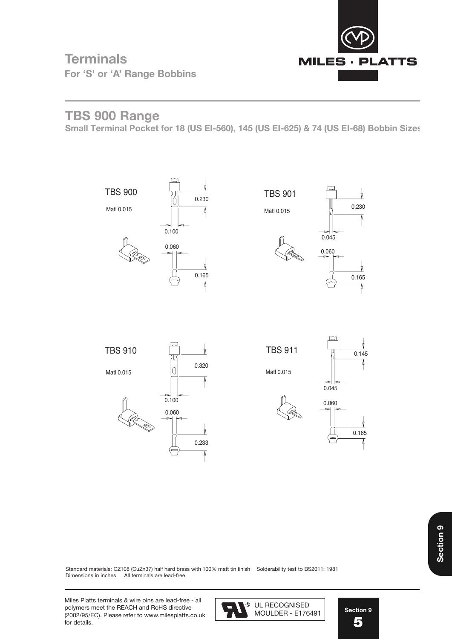

0.100

### **Terminals** Terminals **For 'S' or 'A' Range Bobbins**

## **TBS 900 Range (Standard TBS 900 Range )**

**Small Terminal Pocket for 18 (US EI-560), 145 (US EI-625) & 74 (US EI-68) Bobbin Sizes** 



Standard materials: CZ108 (CuZn37) half hard brass with 100% matt tin finish Solderability test to BS2011: 1981<br>Dimensions in inches and thermingle are lead free. Dimensions in inches All terminals are lead-free Dimensions in inches All terminals are lead-free

Miles Platts terminals & wire pins are lead-free - all **Communistion Contracts Inc.** 11. RECOOMICER polymers meet the REACH and RoHS directive **Fig.** (2002/95/EC). Please refer to www.milesplatts.co.uk for details.  $\mathbf{F}_{\mathbf{S}}$  901  $\mathbf{F}_{\mathbf{S}}$ 



**Section 9** Section 8 Section 8 **5** 4 Standard materials: CZ108 (CuZn37) half hard brass with 100% matt tin finish Solderability test to BS2011: 1981

Section 8